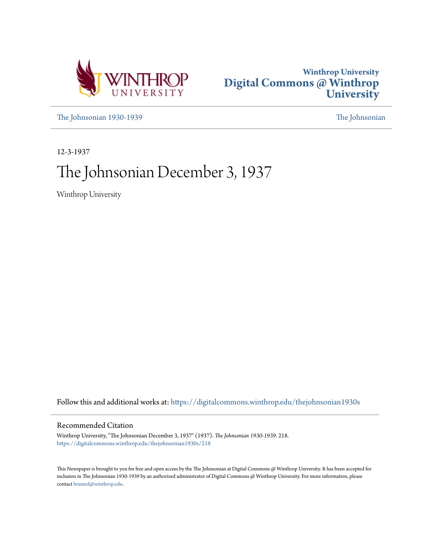



[The Johnsonian 1930-1939](https://digitalcommons.winthrop.edu/thejohnsonian1930s?utm_source=digitalcommons.winthrop.edu%2Fthejohnsonian1930s%2F218&utm_medium=PDF&utm_campaign=PDFCoverPages) [The Johnsonian](https://digitalcommons.winthrop.edu/thejohnsonian_newspaper?utm_source=digitalcommons.winthrop.edu%2Fthejohnsonian1930s%2F218&utm_medium=PDF&utm_campaign=PDFCoverPages)

12-3-1937

# The Johnsonian December 3, 1937

Winthrop University

Follow this and additional works at: [https://digitalcommons.winthrop.edu/thejohnsonian1930s](https://digitalcommons.winthrop.edu/thejohnsonian1930s?utm_source=digitalcommons.winthrop.edu%2Fthejohnsonian1930s%2F218&utm_medium=PDF&utm_campaign=PDFCoverPages)

# Recommended Citation

Winthrop University, "The Johnsonian December 3, 1937" (1937). *The Johnsonian 1930-1939*. 218. [https://digitalcommons.winthrop.edu/thejohnsonian1930s/218](https://digitalcommons.winthrop.edu/thejohnsonian1930s/218?utm_source=digitalcommons.winthrop.edu%2Fthejohnsonian1930s%2F218&utm_medium=PDF&utm_campaign=PDFCoverPages)

This Newspaper is brought to you for free and open access by the The Johnsonian at Digital Commons @ Winthrop University. It has been accepted for inclusion in The Johnsonian 1930-1939 by an authorized administrator of Digital Commons @ Winthrop University. For more information, please contact [bramed@winthrop.edu](mailto:bramed@winthrop.edu).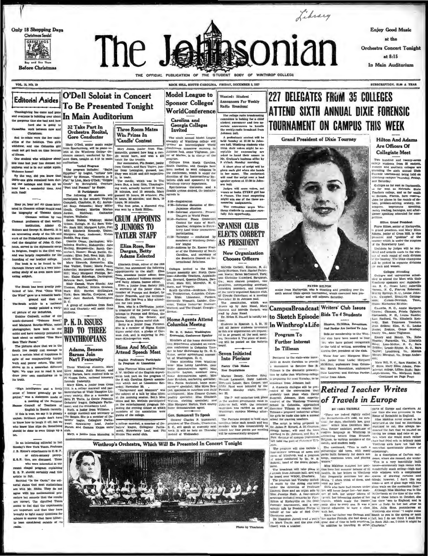

Photo by Th

ce to answer that have hitheron conside

red outside of its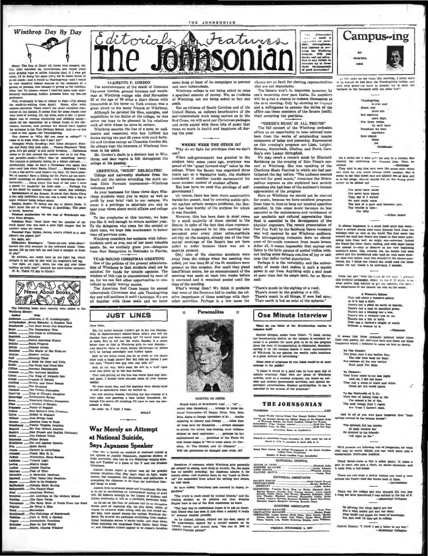Winthrop Day By Day



Diazy: The Day of Dayal All clocks were stopped, etc.<br> Dat, turn enarched on, reversionless, and found yours, and point<br> $\mu$  and  $\mu$  are a<br>reversions, and  $\mu$  are all the other point<br> $\mu$  and  $\mu$  are all the other in<br>t

Fina: can be considered the better function of the best can be leader and the locality stimulating holiday presents form in the<br>locality stimulating holiday presents from my belowed procedure. Well, even<br>trailly to bus, o

al nomis ation for the best of Winthrop's ora-

Freemond nomination for the teen or member of the Ferminan nomination for the member of the walk apparent Pathlem Table and the selection of a poor high jumper that he coldin't clear his thinks.<br>Contain the select of the c ps-ne<br>of yo

f you"<br>By mintake, one rookie beld up his right leg, wh<br>Toy mintake, one rookie beld up his neighbor's left lag<br>"Aw right, aw right; who's the wise guy over the<br>holding up both legs?" shouted the hard-boiled serges<br>OP. 6.:



ooks have re rary:

Title<br>Merson, J. O. Autor<br>That A B a russel, J. C. Autobiography<br>
and Jeven Simonta: A Riskinsky<br>
and Jeven Simonta: A Riskinskin<br>
raft \_\_\_\_\_\_Vou Must Break Out Sometin<br>
The Connecticut Wite ch ........Palestine ...raicsune<br>...Native American Humor<br>...Royal Progress  $\begin{array}{l} \textbf{.0.732} \textbf{.1.73} \textbf{.1.73} \textbf{.1.73} \textbf{.1.73} \textbf{.1.73} \textbf{.1.73} \textbf{.1.73} \textbf{.1.73} \textbf{.1.74} \textbf{.1.75} \textbf{.1.75} \textbf{.1.75} \textbf{.1.76} \textbf{.1.76} \textbf{.1.77} \textbf{.1.77} \textbf{.1.77} \textbf{.1.77} \textbf{.1.77} \textbf{.1.77} \text$  $rac{1}{2}$ Shelley and Other Passer The Anoint ..The French Procession --The Prench Procession<br>--King of Eliand's Daughter<br>--Euthaiastic Spring Compose<br>--Euthaiastic Spring<br>--Pator of Peggae<br>--Pator of Peggae<br>--Feuth in England<br>--Torbal in England<br>--Torbal in England Jack Brings Luck<br>America Coes to Press sy ....Twelve Virginia Counties New French and English Diction<br>The Federal Union<br>Palace Somes<br>Nor and Against Doctors<br>Quiet Skreet Pional, Mrs. H. L. Colored Light Mighty Magic<br>..Joseph Clayton<br>..Tide of Time A Maverick American<br>They Came Like Swa<br>How to Do Publicity.<br>Motable Short Starles. How to Do<br>-Notable Short St.<br>-The Cuckeo Clock Art Activi les in the Modern Sch **Perkins** .The Cave Tw ....The Story Book of Foods From the Field .60 Oreat a Man Gurrealism<br>The Paintings of Ren.<br>Cure it With a Gard...<br>Cure it With Vocation... urnalistic Vocatio<br>% cu the World



**CLEMENTS F. GORDON** 

ncement of the death of Clements The an Fayssoux Gordon, ground foreman and watch-<br>man at Winthrop college who died November 22 at the age of 68 after a short illness with Ex at the age of bo after a short niness with portunarist at his home on York aves a great shock to his many friends at Winthrop.<br>Although he devoted his time, energies, and capabilities to his duties at the college, he wa

capaonines to mis usuals at the compact the pleasant in his relations<br>with all with whom he came in contact.<br>Winthrop mourns the loss of a man, so well-

states and respected, who has fulfilled his<br>duties during the past 25 years with such falth-<br>ful and tireless energy as Clements Gordon did. He always kept the interests of Winthrop fore-

nost in his mind.<br>Mr. Gordon's death is a distinct loss to Wiathrop, and deep regret is felt throughout the college at his passing.

**GREETINGS, "DIXIE" DELEGATES!** 

College and university students from the<br>South and the nation attending the sixth annual Dixite Forenate tournament—Winthrop<br>nual Dixite Forenate tournament—Winthrop mes you!

As your hostesses for these three days Winthrop students want you to enjoy as well as<br>profit by your brief visit to our campus. We<br>count it a privilege to entertain you and to hear your views about world affairs and college life

e.<br>To the neophytes at this tourney, we hope<br>ou like it well enough to return another year. you like it well enough to return another year.<br>To the delegates who come for the second or me, we hope this tourns ment is bette than all previous ones.

The students ones.<br>Winthrop considers her contacts with fellow-<br>students such as you, one of her most valuable<br>assets. So, we cordially greet you—delegates<br>from New Hampshire to Nebraska to Florida.

YEAR-'ROUND CHRISTMAS GREETING De of the policies of the present administration of Winthrop is that students shall not be solicited for funda for outside agencies. The wisdom of this rule in unquestioned by most of us, for we can find other opportunities to con-

tribute to really worthy causes. The American Red Cross began its annual tuberculosis Christmas seal sale Thanksgiving<br>day and will continue it until Christmas. We are<br>all familiar with these seals, and we know

**JUST LINES** 

Dear Journ, Milled because I dishn't get to see you Monday (2014). The Machinonials acceleration in dishnift by the the group of the state of the state of the basic point of the better time to find to within the state and

we'll be having moonlight and turkey again<br>Hew in the world could you be on lived accuracy and in the vacing agence if the state of the dame<br>of a better vacing agence if the fill told me before I met you that, "There<br>we ar

We were hours late, and the matrons were skepp-syed<br>as well as speculative when we walked in.

Am stall suching lemons, functing the last crumbs of a<br>fruit cake, and gnawing a lome turkey drunstick. Although I've sworn off studying, I'll have to case tny con-

War Merely an Attempt

**Says Japanese Speaker** 

That war is merely an attempt at national culcide is<br>the opinion of Junichi Nakamara, Japanese student of Duke university, who was on the Winitrop pumpus Mon-<br>day and Tuesday as a guest of the Y and the Student

ownesses.<br>Junich thinks Japan is rather cool on the prese<br>ntense situation—that they don't want to fight, was<br>soney, lose manpower, but patriotism and miditarism

ney, lose manpower, but patriotism and militarism<br>mpting the Japanes, but patriotism and militarism<br>longs to avoid

Junichi lives to promote peace and friendliness. His sun<br>to mid in realabishing a tolernational fealing of good<br>il. He believes strongly in the Lengue of Nations, and<br>ill ide servinally it will be a perfected, successful b

Unitate strent<br>take it will be a perfected, successible hody. An abs ask on the floor of Johnson hall in as stranding<br>terms park of Japanese side, his floor absorber with a force cycle<br>for excess which of course is recove

tional landscape second<br>From scanning the magazine

at National Suicide,

**BALLY** 

or before

Dear John.

pe a little Be seein' ya. I hope, I hope. whing at least of its campaigns to prevent

and cure tuberculosis. Winthrop college is not being asked to raise specified amount of money. We, as students seels.

Rut na citizens of South Carolina and of the United States, as indirect beneficiaries of the<br>anti-tuberculosis work being carried on by the Red Cross, we will send our Christmas packages and cerds sealed with these bits of paper that<br>mean so much in health and happiness all during the year.

WHERE WERE THE OTHER 257 Why do we fight for privileges that we don't use?

use for self-government was granted to the<br>student body some years ago, everyone was<br>proud of the "great forward step" taken by the ollege. When the Senate was organized three planes ago as a legislative body, the students<br>considered it another hurdle surmounted for<br>more student control of student affairs. But how have we used this privilege of self-

government?<br>Ut course, there has been much constructive<br>teglslation passed. And by arousing public opinion<br>ion against certain campus problems, the Sen-<br>at e has been worthy of the purpose for which<br>it was founded.  $ent?$ 

However, this has been done in most cases  $by$   $s$ s small majority of those elected to the tatives are supposed to let this meeting take<br>precedent over every other extra-curricula activity on the campus, already one of the four<br>annual meetings of the Senate has not been culled to order hecause there was not a

uorum present.<br>Only nine of the absentee members were away from the college when the meeting was<br>called, yet less than 30 of the 61 members were called, yet less than 30 of the ot members were<br>present on this occasion. Nor could they plead<br>insulficient notice, for an announcement of the<br>meeting was made at least two weeks before ned and it remained posted until the  $in$   $ann$ time of the meeting.<br>What's wrong then? We think it probabl

that most of the Senators fail to realize the relative importance of these meetings with their<br>other activities. Perhaps in a few cases the



### MARTHA JO JONES

Orand Alpha of Simswherry Leaf . . . "Jo" . .<br>senior from Batesburg . . . belongs to three na-<br>tional fraternities--Pi Kappa Delta, Seta Beta stems, Alpha at Omega (president of it). . double<br>majoring in history and history. . . takes time<br>off from both for dramatics . . . always manages<br>to attach the tailest, best-looking, most brilliant to aversure and conference , . . perhaps the herical debater at each conference , . . perhaps the her solution applies the model of the Three C's club whose sings is "We're craxy about (1) Carolina, (2) The Cliadel, and (3 Will the p nce be changed next weak, Jo?

Quantiens of remeases, which Winkineys girls generally get around to aching, were fired at Jurelel. No, the moon and have a proper and end of the space and end of the space and end of the space and of the space of the spa

He then added, "Everybody gate married in Japan, re-

gacoses.<br>"The wwid is made small by mutual friends," said the<br>visiting student, as he pointed out that Broadus<br>Brigler here is one of the first Americans he knew.

orager perce as one on the stars constrained in states.<br>The best way to understand Japan is to also an interaction of the base seen it least we<br>can friend a seemed to the stars in the stars in the stars in<br>the latter stars

classes are at fault for electing representatives that are not dependable.

The Senate won't he improved, however, by one's mourning over past faults. Its members<br>will be given a chance to redeem themselves at<br>the next meeting. Only by showing an interest elves at and a willingness to assume the duties of the<br>office can these members of the Senate justify can the mbers of the Senate justify their accepting the positions.

"THERE'S MUSIC IN ALL THINGS" The fall concert of the Winthrop orchestra<br>offers us an opportunity to hear selected num-<br>bers from the works of outstanding master<br>composers of today and yesterday. Represented composers or weak and year are Liszt, Luight,<br>on this evening's program are Liszt, Luight,<br>Strauss, Bottochalk, Sibelius, and North Caro-<br>lina's own Lamar Stringfield.

We may recall a remark made by Elizabeth we may recent a remain state of Ezio Pinza's concert at Winthrop. She was speaking of the Charlotte Music Festival in which are had par-State of the day before. "The audience seemed<br>sterved for good music," remarked the Metro-<br>politan soprano as the explained how acutely<br>conscious she had been of the audience's intense

preciation of the program<br>Here at Winthrop we should not be starved for music, because we have excellent programs for music, because we have excellent programs<br>from time to keep our musical appetites<br>satisfied. In this sense music becomes no less<br>essential to the maintenance and carchinents of<br>our aestebtic and eultural appreciation was well received by our Winthrop audience Was well received by our windincip solution and<br>alune of favorable comment from music lowers. After all, it as<br>email approach and alune and the distance of favorable community out feeling some distance of<br>the line of the

Perhaps it is the variability and the universality of music that makes it such a mystic power in our lives. Anything with a soul must<br>at some time feel its magic spell, for as Byron  $sub4$ 

"There's music in the sighing of a road;<br>There's music in the guahing of a rill;<br>There's music in all things, if men had ears; of the sphere Their earth is but an echo

## One Minute Interview

What do you think of the Eronde

Harriet Morgan, senior from Union. "I ubink having the breadcasting station on the censions is excellent because cause it is possible for more givis to be on the program since the line of transportation is eliminated. Som

What kind af programe do you think weald be of microsi to the public?

 $^{\circ}T$  think it would be a good idea to have each full 15 minute broadcast filled with one phase of Winkhrop activity, such as a musical program, one based on at<br>helic and studied better and smaller program, one based on lons. Stadent participation, to me, is partment presents ential to the success of the pro

### **THE JOHNSONIAN**

Immed Weekly Icarius Rebasi Year Easopt Hollsky Periods<br>|ring the Reynar Respires the Official Organ of the Bindses Brdy<br>|ed Wicsbrew College, The South Carolina College for Waman<br>|hardgabon Price (nymbar sunins).......... ter Rates on Applies

Entered as second-rime matter November 31, 1923, under the Ast of March 3, 1973, at perturber in Sech Mill, S. C.

ted First Among the College Memapapers of the South Carolina<br>College Press Accordation

Member of floath Capel **Ins Trees As** EDITORIAL COUNCIL

**CUIRP**<br>ANAGER **BUSINES BANNER**<br>**HEWE EDITCH**<br>**PEATURE EDITCH** 

# EDITORIAL ASSISTANTS

ROUT SIATUNG - ANGLES ANG MANGALANG BANDALANG PERBEDIKAN PERBEDIKAN PERBEDIKAN PERBEDIKAN PERBEDIKAN PERBEDIKAN PERBEDIKAN PERBEDIKAN PERBEDIKAN PERBEDIKAN PERBEDIKAN PERBEDIKAN PERBEDIKAN PERBEDIKAN PERBEDIKAN PERBEDIKAN

### BUSINESS ASSISTANTS

**DVERTHING MANAGER** Eff: Loyies Gesten, Sayah Shine, Mary Geness, Mari<br>Martha Jo Jones, Jean Philae, Nanny Staak, Mar<br>Joisvie Lott, Mamis Kathorine Bliabh, Anno Willim

FRIDAY, DECEMBER 2, 1937



 $_{\text{ch}}$ 

I've never been dated<br>
I've never been kitaed.<br>
They say if I waited.<br>
Mo man could resist<br>
The lure of a pure and immoens sake.<br>
The trouble is this-I'm fifty Velbox Jacket

It always happened in a stery book until this seez-<br>when a cetain pound in a stery book until this seez-<br>when a cetar in the world. The first move is also convented the mail box where she be<br>peel to find some latter there count<br>HL I V meant for her. Could it be arr

From the girl "with the team in ner eyes" 1 / T. at you've long wanted to get my ephtics, I'm  $I$  as  $\omega$ 

A Wessan's Sphere<br>
An II it had a limit.<br>
As II it had a limit.<br>
Ther's not a limit.<br>
There's not a place on early or heaven<br>
There's not a leady to mankind given,<br>
There's not a leady to mankind given,<br>
Ther's not a life That has a feather's weight of worth ut a woman in it.

It seems that these unknown authors would claim<br>their own postry, but scattered here and thare are these<br>fragments which i dedicate to some we love so dearly.

To The Citadel:<br>The front once I can button fine<br>The side once keep me buny;<br>Rut buttoms all the way behind<br>Hurt until I'm dizzy.

To Cleesson:<br>Your kiter came to me last night<br>And, oh, I did not know<br>That just a scrap of black and white<br>Could set the world aglow.

To the University of S. C.:<br>Thru fear of taking risks :<br>I've missed a lot of fur in life only things that I region The only thing

And to all of you who have form en that "h

The optimist foll ten stort<br>At each window bar<br>He shouted to his friends:<br>"All right so far."

We'll present are following bits of plagfarism for what<br>hey may be wurth. Maybe you can work them into a<br>pnervation Chrismass holidays.

Third Hend--Love is like a poker game: It takes pair to open, she gets a flush, he shows diamonds, a it ends with a full house.

ere are two ways a pretty woman can twist a mean<br>of her finger—and she knows hoth of them.<br>——Tawideonian

There was the college girl who thought life was just song, but later discovered it was written in the key of  $P$ .<br>-Mississippi Collegian

By glowing fire when lights are low<br>Sits a high school girl and her beau;<br>They laugh and giggle for want of kno<br>But just wait 'til they get in college.

Optical illusion: 7 think I see a letter in my box."<br>-Mississippi Collegian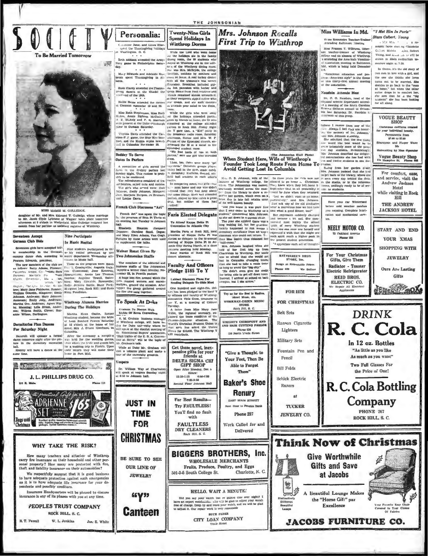